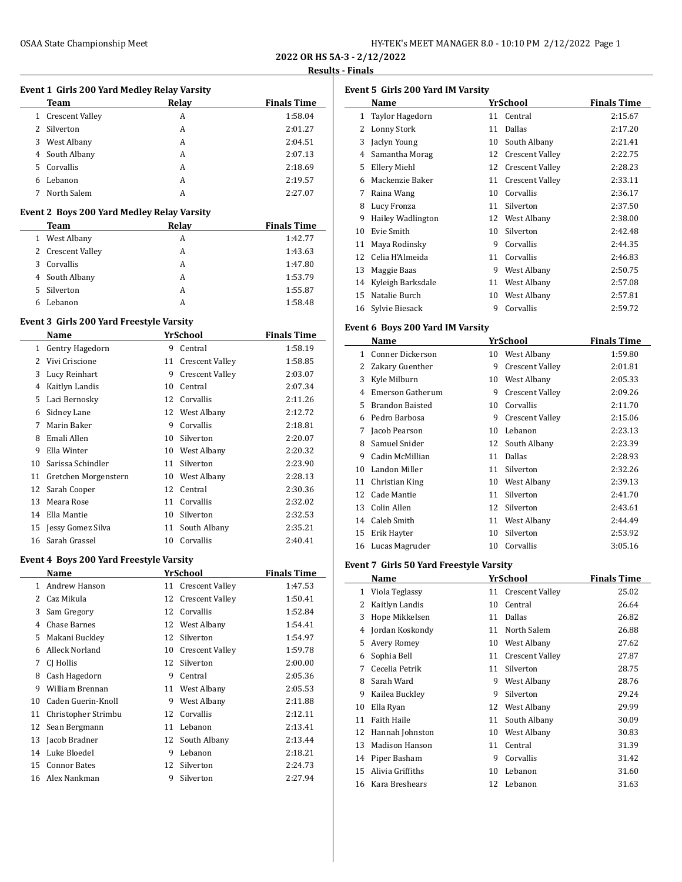| HY-TEK's MEET MANAGER 8.0 - 10:10 PM 2/12/2022 Page 1 |  |  |
|-------------------------------------------------------|--|--|
|-------------------------------------------------------|--|--|

**2022 OR HS 5A-3 - 2/12/2022**

#### **Results - Finals**

## **Event 1 Girls 200 Yard Medley Relay Varsity**

|    | Team              | Relav | <b>Finals Time</b> |
|----|-------------------|-------|--------------------|
|    | 1 Crescent Valley | А     | 1:58.04            |
|    | 2 Silverton       | A     | 2:01.27            |
| 3  | West Albany       | А     | 2:04.51            |
|    | 4 South Albany    | А     | 2:07.13            |
| 5. | Corvallis         | A     | 2:18.69            |
| 6  | Lebanon           | A     | 2:19.57            |
|    | North Salem       | А     | 2:27.07            |

#### **Event 2 Boys 200 Yard Medley Relay Varsity**

| Team              | Relay | <b>Finals Time</b> |
|-------------------|-------|--------------------|
| 1 West Albany     | А     | 1:42.77            |
| 2 Crescent Valley | А     | 1:43.63            |
| Corvallis<br>3    | А     | 1:47.80            |
| 4 South Albany    | A     | 1:53.79            |
| Silverton<br>5.   | А     | 1:55.87            |
| Lebanon<br>6      |       | 1:58.48            |

### **Event 3 Girls 200 Yard Freestyle Varsity**

 $\overline{a}$ 

|    | Name                 |    | YrSchool               | <b>Finals Time</b> |
|----|----------------------|----|------------------------|--------------------|
| 1. | Gentry Hagedorn      | 9  | Central                | 1:58.19            |
| 2  | Vivi Criscione       | 11 | <b>Crescent Valley</b> | 1:58.85            |
| 3  | Lucy Reinhart        | 9  | <b>Crescent Valley</b> | 2:03.07            |
| 4  | Kaitlyn Landis       | 10 | Central                | 2:07.34            |
| 5  | Laci Bernosky        | 12 | Corvallis              | 2:11.26            |
| 6  | Sidney Lane          |    | 12 West Albany         | 2:12.72            |
| 7  | Marin Baker          | 9  | Corvallis              | 2:18.81            |
| 8  | Emali Allen          | 10 | Silverton              | 2:20.07            |
| 9  | Ella Winter          | 10 | West Albany            | 2:20.32            |
| 10 | Sarissa Schindler    | 11 | Silverton              | 2:23.90            |
| 11 | Gretchen Morgenstern | 10 | West Albany            | 2:28.13            |
| 12 | Sarah Cooper         | 12 | Central                | 2:30.36            |
| 13 | Meara Rose           | 11 | Corvallis              | 2:32.02            |
| 14 | Ella Mantie          | 10 | Silverton              | 2:32.53            |
| 15 | Jessy Gomez Silva    | 11 | South Albany           | 2:35.21            |
| 16 | Sarah Grassel        | 10 | Corvallis              | 2:40.41            |

#### **Event 4 Boys 200 Yard Freestyle Varsity**

|    | Name                |    | YrSchool               | <b>Finals Time</b> |
|----|---------------------|----|------------------------|--------------------|
| 1. | Andrew Hanson       |    | 11 Crescent Valley     | 1:47.53            |
| 2  | Caz Mikula          | 12 | <b>Crescent Valley</b> | 1:50.41            |
| 3  | Sam Gregory         | 12 | Corvallis              | 1:52.84            |
| 4  | <b>Chase Barnes</b> | 12 | West Albany            | 1:54.41            |
| 5  | Makani Buckley      | 12 | Silverton              | 1:54.97            |
| 6  | Alleck Norland      | 10 | <b>Crescent Valley</b> | 1:59.78            |
| 7  | CJ Hollis           | 12 | Silverton              | 2:00.00            |
| 8  | Cash Hagedorn       | 9  | Central                | 2:05.36            |
| 9  | William Brennan     | 11 | West Albany            | 2:05.53            |
| 10 | Caden Guerin-Knoll  | 9  | West Albany            | 2:11.88            |
| 11 | Christopher Strimbu | 12 | Corvallis              | 2:12.11            |
| 12 | Sean Bergmann       | 11 | Lebanon                | 2:13.41            |
| 13 | Jacob Bradner       |    | 12 South Albany        | 2:13.44            |
| 14 | Luke Bloedel        | 9  | Lebanon                | 2:18.21            |
| 15 | <b>Connor Bates</b> | 12 | Silverton              | 2:24.73            |
| 16 | Alex Nankman        | 9  | Silverton              | 2:27.94            |
|    |                     |    |                        |                    |

| <b>Event 5 Girls 200 Yard IM Varsity</b> |                          |    |                        |                    |  |
|------------------------------------------|--------------------------|----|------------------------|--------------------|--|
|                                          | Name                     |    | YrSchool               | <b>Finals Time</b> |  |
| $\mathbf{1}$                             | Taylor Hagedorn          | 11 | Central                | 2:15.67            |  |
| 2                                        | Lonny Stork              | 11 | Dallas                 | 2:17.20            |  |
| 3                                        | Jaclyn Young             | 10 | South Albany           | 2:21.41            |  |
| 4                                        | Samantha Morag           | 12 | <b>Crescent Valley</b> | 2:22.75            |  |
| 5.                                       | Ellery Miehl             | 12 | <b>Crescent Valley</b> | 2:28.23            |  |
| 6                                        | Mackenzie Baker          | 11 | Crescent Valley        | 2:33.11            |  |
| 7                                        | Raina Wang               | 10 | Corvallis              | 2:36.17            |  |
| 8                                        | Lucy Fronza              | 11 | Silverton              | 2:37.50            |  |
| 9                                        | <b>Hailey Wadlington</b> | 12 | West Albany            | 2:38.00            |  |
| 10                                       | Evie Smith               | 10 | Silverton              | 2:42.48            |  |
| 11                                       | Maya Rodinsky            | 9  | Corvallis              | 2:44.35            |  |
| 12                                       | Celia H'Almeida          | 11 | Corvallis              | 2:46.83            |  |
| 13                                       | Maggie Baas              | 9  | West Albany            | 2:50.75            |  |
| 14                                       | Kyleigh Barksdale        | 11 | West Albany            | 2:57.08            |  |
| 15                                       | Natalie Burch            | 10 | West Albany            | 2:57.81            |  |
| 16                                       | Sylvie Biesack           | 9  | Corvallis              | 2:59.72            |  |

### **Event 6 Boys 200 Yard IM Varsity**

|    | Name                   |    | <b>YrSchool</b>        | <b>Finals Time</b> |
|----|------------------------|----|------------------------|--------------------|
| 1  | Conner Dickerson       | 10 | West Albany            | 1:59.80            |
| 2  | Zakary Guenther        | 9  | <b>Crescent Valley</b> | 2:01.81            |
| 3  | Kyle Milburn           | 10 | West Albany            | 2:05.33            |
| 4  | Emerson Gatherum       | 9  | <b>Crescent Valley</b> | 2:09.26            |
| 5  | <b>Brandon Baisted</b> | 10 | Corvallis              | 2:11.70            |
| 6  | Pedro Barbosa          | 9  | Crescent Valley        | 2:15.06            |
| 7  | Jacob Pearson          | 10 | Lebanon                | 2:23.13            |
| 8  | Samuel Snider          | 12 | South Albany           | 2:23.39            |
| 9  | Cadin McMillian        | 11 | Dallas                 | 2:28.93            |
| 10 | Landon Miller          | 11 | Silverton              | 2:32.26            |
| 11 | Christian King         | 10 | West Albany            | 2:39.13            |
| 12 | Cade Mantie            | 11 | Silverton              | 2:41.70            |
| 13 | Colin Allen            | 12 | Silverton              | 2:43.61            |
| 14 | Caleb Smith            | 11 | West Albany            | 2:44.49            |
| 15 | Erik Hayter            | 10 | Silverton              | 2:53.92            |
|    | 16 Lucas Magruder      | 10 | Corvallis              | 3:05.16            |

### **Event 7 Girls 50 Yard Freestyle Varsity**

|    | Name               |    | YrSchool               | <b>Finals Time</b> |
|----|--------------------|----|------------------------|--------------------|
| 1  | Viola Teglassy     | 11 | <b>Crescent Valley</b> | 25.02              |
| 2  | Kaitlyn Landis     | 10 | Central                | 26.64              |
| 3  | Hope Mikkelsen     | 11 | Dallas                 | 26.82              |
| 4  | Jordan Koskondy    | 11 | North Salem            | 26.88              |
| 5  | Avery Romey        | 10 | West Albany            | 27.62              |
| 6  | Sophia Bell        | 11 | <b>Crescent Valley</b> | 27.87              |
| 7  | Cecelia Petrik     | 11 | Silverton              | 28.75              |
| 8  | Sarah Ward         | 9  | West Albany            | 28.76              |
| 9  | Kailea Buckley     | 9  | Silverton              | 29.24              |
| 10 | Ella Ryan          | 12 | West Albany            | 29.99              |
| 11 | <b>Faith Haile</b> | 11 | South Albany           | 30.09              |
| 12 | Hannah Johnston    | 10 | West Albany            | 30.83              |
| 13 | Madison Hanson     | 11 | Central                | 31.39              |
| 14 | Piper Basham       | 9  | Corvallis              | 31.42              |
| 15 | Alivia Griffiths   | 10 | Lebanon                | 31.60              |
| 16 | Kara Breshears     | 12 | Lebanon                | 31.63              |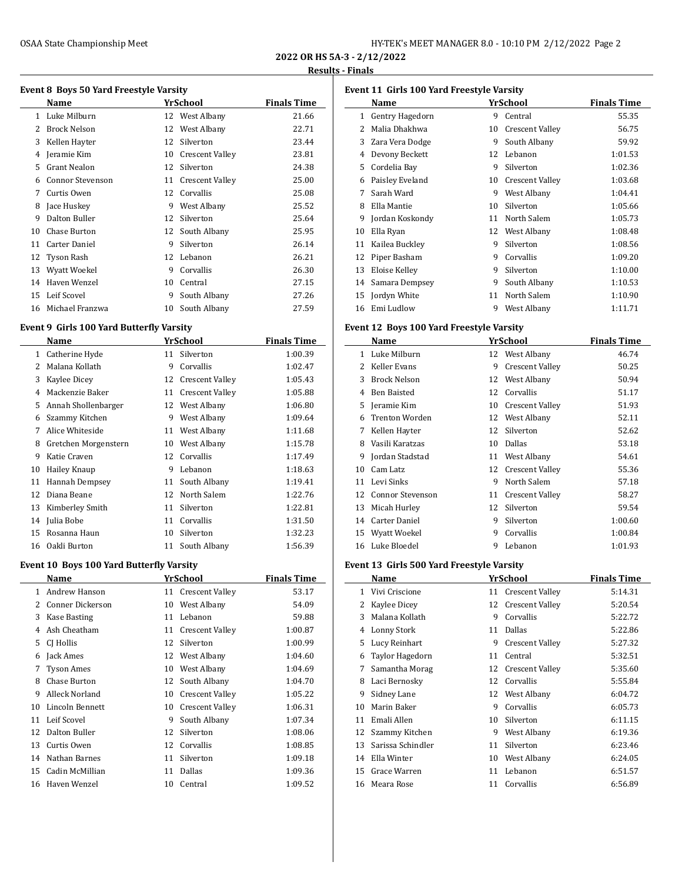| HY-TEK's MEET MANAGER 8.0 - 10:10 PM 2/12/2022 Page 2 |  |  |  |
|-------------------------------------------------------|--|--|--|
|-------------------------------------------------------|--|--|--|

**2022 OR HS 5A-3 - 2/12/2022 Results - Finals**

J,

# **Event 8 Boys 50 Yard Freestyle Varsity**

|    | <b>Name</b>             |    | YrSchool               | <b>Finals Time</b> |  |  |
|----|-------------------------|----|------------------------|--------------------|--|--|
| 1. | Luke Milburn            |    | 12 West Albany         | 21.66              |  |  |
| 2  | <b>Brock Nelson</b>     |    | 12 West Albany         | 22.71              |  |  |
| 3  | Kellen Hayter           | 12 | Silverton              | 23.44              |  |  |
| 4  | Jeramie Kim             | 10 | Crescent Valley        | 23.81              |  |  |
| 5  | <b>Grant Nealon</b>     | 12 | Silverton              | 24.38              |  |  |
| 6  | <b>Connor Stevenson</b> | 11 | <b>Crescent Valley</b> | 25.00              |  |  |
| 7  | Curtis Owen             | 12 | Corvallis              | 25.08              |  |  |
| 8  | Jace Huskey             | 9  | West Albany            | 25.52              |  |  |
| 9  | Dalton Buller           | 12 | Silverton              | 25.64              |  |  |
| 10 | <b>Chase Burton</b>     |    | 12 South Albany        | 25.95              |  |  |
| 11 | Carter Daniel           | 9  | Silverton              | 26.14              |  |  |
| 12 | <b>Tyson Rash</b>       | 12 | Lebanon                | 26.21              |  |  |
| 13 | Wyatt Woekel            | 9  | Corvallis              | 26.30              |  |  |
| 14 | Haven Wenzel            | 10 | Central                | 27.15              |  |  |
| 15 | Leif Scovel             | 9  | South Albany           | 27.26              |  |  |
| 16 | Michael Franzwa         | 10 | South Albany           | 27.59              |  |  |

### **Event 9 Girls 100 Yard Butterfly Varsity**

|    | Name                 |    | YrSchool        | <b>Finals Time</b> |
|----|----------------------|----|-----------------|--------------------|
| 1  | Catherine Hyde       | 11 | Silverton       | 1:00.39            |
| 2  | Malana Kollath       | 9  | Corvallis       | 1:02.47            |
| 3  | Kaylee Dicey         | 12 | Crescent Valley | 1:05.43            |
| 4  | Mackenzie Baker      | 11 | Crescent Valley | 1:05.88            |
| 5  | Annah Shollenbarger  | 12 | West Albany     | 1:06.80            |
| 6  | Szammy Kitchen       | 9  | West Albany     | 1:09.64            |
| 7  | Alice Whiteside      | 11 | West Albany     | 1:11.68            |
| 8  | Gretchen Morgenstern | 10 | West Albany     | 1:15.78            |
| 9  | Katie Craven         | 12 | Corvallis       | 1:17.49            |
| 10 | Hailey Knaup         | 9  | Lebanon         | 1:18.63            |
| 11 | Hannah Dempsey       | 11 | South Albany    | 1:19.41            |
| 12 | Diana Beane          | 12 | North Salem     | 1:22.76            |
| 13 | Kimberley Smith      | 11 | Silverton       | 1:22.81            |
| 14 | Julia Bobe           | 11 | Corvallis       | 1:31.50            |
| 15 | Rosanna Haun         | 10 | Silverton       | 1:32.23            |
| 16 | Oakli Burton         | 11 | South Albany    | 1:56.39            |

## **Event 10 Boys 100 Yard Butterfly Varsity**

|    | Name              |    | YrSchool               | <b>Finals Time</b> |
|----|-------------------|----|------------------------|--------------------|
| 1  | Andrew Hanson     |    | 11 Crescent Valley     | 53.17              |
| 2  | Conner Dickerson  | 10 | West Albany            | 54.09              |
| 3  | Kase Basting      | 11 | Lebanon                | 59.88              |
| 4  | Ash Cheatham      | 11 | Crescent Valley        | 1:00.87            |
| 5  | CJ Hollis         | 12 | Silverton              | 1:00.99            |
| 6  | Jack Ames         | 12 | West Albany            | 1:04.60            |
| 7  | <b>Tyson Ames</b> | 10 | West Albany            | 1:04.69            |
| 8  | Chase Burton      | 12 | South Albany           | 1:04.70            |
| 9  | Alleck Norland    | 10 | <b>Crescent Valley</b> | 1:05.22            |
| 10 | Lincoln Bennett   | 10 | <b>Crescent Valley</b> | 1:06.31            |
| 11 | Leif Scovel       | 9  | South Albany           | 1:07.34            |
| 12 | Dalton Buller     | 12 | Silverton              | 1:08.06            |
| 13 | Curtis Owen       | 12 | Corvallis              | 1:08.85            |
| 14 | Nathan Barnes     | 11 | Silverton              | 1:09.18            |
| 15 | Cadin McMillian   | 11 | Dallas                 | 1:09.36            |
| 16 | Haven Wenzel      | 10 | Central                | 1:09.52            |
|    |                   |    |                        |                    |

| Event 11 Girls 100 Yard Freestyle Varsity |                 |    |                        |                    |  |
|-------------------------------------------|-----------------|----|------------------------|--------------------|--|
|                                           | Name            |    | YrSchool               | <b>Finals Time</b> |  |
| $\mathbf{1}$                              | Gentry Hagedorn | 9  | Central                | 55.35              |  |
| 2                                         | Malia Dhakhwa   | 10 | <b>Crescent Valley</b> | 56.75              |  |
| 3                                         | Zara Vera Dodge | 9  | South Albany           | 59.92              |  |
| 4                                         | Devony Beckett  | 12 | Lebanon                | 1:01.53            |  |
| 5                                         | Cordelia Bay    | 9  | Silverton              | 1:02.36            |  |
| 6                                         | Paisley Eveland | 10 | Crescent Valley        | 1:03.68            |  |
| 7                                         | Sarah Ward      | 9  | West Albany            | 1:04.41            |  |
| 8                                         | Ella Mantie     | 10 | Silverton              | 1:05.66            |  |
| 9                                         | Jordan Koskondy | 11 | North Salem            | 1:05.73            |  |
| 10                                        | Ella Ryan       | 12 | West Albany            | 1:08.48            |  |
| 11                                        | Kailea Buckley  | 9  | Silverton              | 1:08.56            |  |
| 12                                        | Piper Basham    | 9  | Corvallis              | 1:09.20            |  |
| 13                                        | Eloise Kelley   | 9  | Silverton              | 1:10.00            |  |
| 14                                        | Samara Dempsey  | 9  | South Albany           | 1:10.53            |  |
| 15                                        | Jordyn White    | 11 | North Salem            | 1:10.90            |  |
| 16                                        | Emi Ludlow      | 9  | West Albany            | 1:11.71            |  |

#### **Event 12 Boys 100 Yard Freestyle Varsity**

|    | Name                  |    | <b>YrSchool</b>        | <b>Finals Time</b> |
|----|-----------------------|----|------------------------|--------------------|
| 1. | Luke Milburn          |    | 12 West Albany         | 46.74              |
| 2  | Keller Evans          | 9  | <b>Crescent Valley</b> | 50.25              |
| 3  | <b>Brock Nelson</b>   | 12 | West Albany            | 50.94              |
| 4  | <b>Ben Baisted</b>    | 12 | Corvallis              | 51.17              |
| 5  | Jeramie Kim           | 10 | Crescent Valley        | 51.93              |
| 6  | <b>Trenton Worden</b> | 12 | West Albany            | 52.11              |
| 7  | Kellen Hayter         | 12 | Silverton              | 52.62              |
| 8  | Vasili Karatzas       | 10 | Dallas                 | 53.18              |
| 9  | Jordan Stadstad       | 11 | West Albany            | 54.61              |
| 10 | Cam Latz              |    | 12 Crescent Valley     | 55.36              |
| 11 | Levi Sinks            | 9  | North Salem            | 57.18              |
| 12 | Connor Stevenson      | 11 | Crescent Valley        | 58.27              |
| 13 | Micah Hurley          | 12 | Silverton              | 59.54              |
| 14 | <b>Carter Daniel</b>  | 9  | Silverton              | 1:00.60            |
| 15 | Wyatt Woekel          | 9  | Corvallis              | 1:00.84            |
| 16 | Luke Bloedel          | 9  | Lebanon                | 1:01.93            |

## **Event 13 Girls 500 Yard Freestyle Varsity**

|    | Name              |    | YrSchool               | <b>Finals Time</b> |
|----|-------------------|----|------------------------|--------------------|
| 1  | Vivi Criscione    | 11 | <b>Crescent Valley</b> | 5:14.31            |
| 2  | Kaylee Dicey      | 12 | <b>Crescent Valley</b> | 5:20.54            |
| 3  | Malana Kollath    | 9  | Corvallis              | 5:22.72            |
| 4  | Lonny Stork       | 11 | Dallas                 | 5:22.86            |
| 5  | Lucy Reinhart     | 9  | <b>Crescent Valley</b> | 5:27.32            |
| 6  | Taylor Hagedorn   | 11 | Central                | 5:32.51            |
| 7  | Samantha Morag    | 12 | <b>Crescent Valley</b> | 5:35.60            |
| 8  | Laci Bernosky     | 12 | Corvallis              | 5:55.84            |
| 9  | Sidney Lane       | 12 | West Albany            | 6:04.72            |
| 10 | Marin Baker       | 9  | Corvallis              | 6:05.73            |
| 11 | Emali Allen       | 10 | Silverton              | 6:11.15            |
| 12 | Szammy Kitchen    | 9  | West Albany            | 6:19.36            |
| 13 | Sarissa Schindler | 11 | Silverton              | 6:23.46            |
| 14 | Ella Winter       | 10 | West Albany            | 6:24.05            |
| 15 | Grace Warren      | 11 | Lebanon                | 6:51.57            |
| 16 | Meara Rose        | 11 | Corvallis              | 6:56.89            |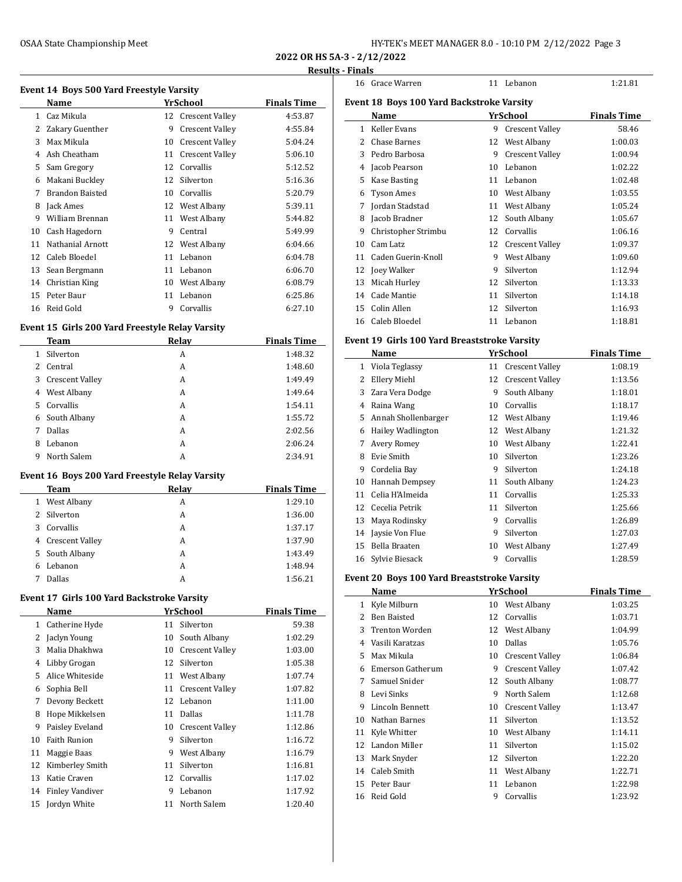| HY-TEK's MEET MANAGER 8.0 - 10:10 PM 2/12/2022 Page 3 |  |  |  |
|-------------------------------------------------------|--|--|--|
|-------------------------------------------------------|--|--|--|

**2022 OR HS 5A-3 - 2/12/2022**

#### **Results - Finals**

|  | Event 14 Boys 500 Yard Freestyle Varsity |  |
|--|------------------------------------------|--|
|  |                                          |  |

|              | Name                   |    | YrSchool               | <b>Finals Time</b> |
|--------------|------------------------|----|------------------------|--------------------|
| $\mathbf{1}$ | Caz Mikula             |    | 12 Crescent Valley     | 4:53.87            |
| 2            | Zakary Guenther        | 9  | Crescent Valley        | 4:55.84            |
| 3            | Max Mikula             | 10 | <b>Crescent Valley</b> | 5:04.24            |
| 4            | Ash Cheatham           | 11 | <b>Crescent Valley</b> | 5:06.10            |
| 5.           | Sam Gregory            | 12 | Corvallis              | 5:12.52            |
| 6            | Makani Buckley         | 12 | Silverton              | 5:16.36            |
| 7            | <b>Brandon Baisted</b> | 10 | Corvallis              | 5:20.79            |
| 8            | Jack Ames              | 12 | West Albany            | 5:39.11            |
| 9            | William Brennan        | 11 | West Albany            | 5:44.82            |
| 10           | Cash Hagedorn          | 9  | Central                | 5:49.99            |
| 11           | Nathanial Arnott       | 12 | West Albany            | 6:04.66            |
| 12           | Caleb Bloedel          | 11 | Lebanon                | 6:04.78            |
| 13           | Sean Bergmann          | 11 | Lebanon                | 6:06.70            |
| 14           | Christian King         | 10 | West Albany            | 6:08.79            |
| 15           | Peter Baur             | 11 | Lebanon                | 6:25.86            |
| 16           | Reid Gold              | 9  | Corvallis              | 6:27.10            |

### **Event 15 Girls 200 Yard Freestyle Relay Varsity**

|   | Team              | Relay | <b>Finals Time</b> |
|---|-------------------|-------|--------------------|
| 1 | Silverton         | A     | 1:48.32            |
|   | 2 Central         | A     | 1:48.60            |
|   | 3 Crescent Valley | A     | 1:49.49            |
|   | 4 West Albany     | A     | 1:49.64            |
|   | 5 Corvallis       | A     | 1:54.11            |
|   | 6 South Albany    | A     | 1:55.72            |
| 7 | Dallas            | A     | 2:02.56            |
| 8 | Lebanon           | A     | 2:06.24            |
| 9 | North Salem       | A     | 2:34.91            |

### **Event 16 Boys 200 Yard Freestyle Relay Varsity**

| <b>Team</b>       | Relay | <b>Finals Time</b> |
|-------------------|-------|--------------------|
| 1 West Albany     | A     | 1:29.10            |
| 2 Silverton       | А     | 1:36.00            |
| 3 Corvallis       | A     | 1:37.17            |
| 4 Crescent Valley | А     | 1:37.90            |
| 5 South Albany    | A     | 1:43.49            |
| Lebanon<br>6      | A     | 1:48.94            |
| Dallas            | А     | 1:56.21            |

## **Event 17 Girls 100 Yard Backstroke Varsity**

|    | Name                   |    | YrSchool               | <b>Finals Time</b> |
|----|------------------------|----|------------------------|--------------------|
| 1  | Catherine Hyde         | 11 | Silverton              | 59.38              |
| 2  | Jaclyn Young           | 10 | South Albany           | 1:02.29            |
| 3  | Malia Dhakhwa          | 10 | <b>Crescent Valley</b> | 1:03.00            |
| 4  | Libby Grogan           | 12 | Silverton              | 1:05.38            |
| 5. | Alice Whiteside        | 11 | West Albany            | 1:07.74            |
| 6  | Sophia Bell            | 11 | <b>Crescent Valley</b> | 1:07.82            |
| 7  | Devony Beckett         | 12 | Lebanon                | 1:11.00            |
| 8  | Hope Mikkelsen         | 11 | Dallas                 | 1:11.78            |
| 9  | Paisley Eveland        | 10 | <b>Crescent Valley</b> | 1:12.86            |
| 10 | <b>Faith Runion</b>    | 9  | Silverton              | 1:16.72            |
| 11 | Maggie Baas            | 9  | West Albany            | 1:16.79            |
| 12 | Kimberley Smith        | 11 | Silverton              | 1:16.81            |
| 13 | Katie Craven           | 12 | Corvallis              | 1:17.02            |
| 14 | <b>Finley Vandiver</b> | 9  | Lebanon                | 1:17.92            |
| 15 | Jordyn White           | 11 | North Salem            | 1:20.40            |

|                                                  | 16 Grace Warren     | 11 | Lebanon                | 1:21.81            |  |  |
|--------------------------------------------------|---------------------|----|------------------------|--------------------|--|--|
| <b>Event 18 Boys 100 Yard Backstroke Varsity</b> |                     |    |                        |                    |  |  |
|                                                  | Name                |    | YrSchool               | <b>Finals Time</b> |  |  |
| 1                                                | Keller Evans        | 9  | <b>Crescent Valley</b> | 58.46              |  |  |
| 2                                                | <b>Chase Barnes</b> | 12 | West Albany            | 1:00.03            |  |  |
| 3                                                | Pedro Barbosa       | 9  | <b>Crescent Valley</b> | 1:00.94            |  |  |
| 4                                                | Jacob Pearson       | 10 | Lebanon                | 1:02.22            |  |  |
| 5                                                | <b>Kase Basting</b> | 11 | Lebanon                | 1:02.48            |  |  |
| 6                                                | <b>Tyson Ames</b>   | 10 | West Albany            | 1:03.55            |  |  |
| 7                                                | Jordan Stadstad     | 11 | West Albany            | 1:05.24            |  |  |
| 8                                                | Jacob Bradner       | 12 | South Albany           | 1:05.67            |  |  |
| 9                                                | Christopher Strimbu | 12 | Corvallis              | 1:06.16            |  |  |
| 10                                               | Cam Latz            | 12 | Crescent Valley        | 1:09.37            |  |  |
| 11                                               | Caden Guerin-Knoll  | 9  | West Albany            | 1:09.60            |  |  |
| 12                                               | Joey Walker         | 9  | Silverton              | 1:12.94            |  |  |
| 13                                               | Micah Hurley        | 12 | Silverton              | 1:13.33            |  |  |
| 14                                               | Cade Mantie         | 11 | Silverton              | 1:14.18            |  |  |
| 15                                               | Colin Allen         | 12 | Silverton              | 1:16.93            |  |  |
| 16                                               | Caleb Bloedel       | 11 | Lebanon                | 1:18.81            |  |  |

### **Event 19 Girls 100 Yard Breaststroke Varsity**

|    | Name                |    | YrSchool               | <b>Finals Time</b> |
|----|---------------------|----|------------------------|--------------------|
| 1  | Viola Teglassy      | 11 | <b>Crescent Valley</b> | 1:08.19            |
| 2  | Ellery Miehl        | 12 | Crescent Valley        | 1:13.56            |
| 3  | Zara Vera Dodge     | 9  | South Albany           | 1:18.01            |
| 4  | Raina Wang          | 10 | Corvallis              | 1:18.17            |
| 5  | Annah Shollenbarger | 12 | West Albany            | 1:19.46            |
| 6  | Hailey Wadlington   | 12 | West Albany            | 1:21.32            |
| 7  | Avery Romey         | 10 | West Albany            | 1:22.41            |
| 8  | Evie Smith          | 10 | Silverton              | 1:23.26            |
| 9  | Cordelia Bay        | 9  | Silverton              | 1:24.18            |
| 10 | Hannah Dempsey      | 11 | South Albany           | 1:24.23            |
| 11 | Celia H'Almeida     | 11 | Corvallis              | 1:25.33            |
| 12 | Cecelia Petrik      | 11 | Silverton              | 1:25.66            |
| 13 | Maya Rodinsky       | 9  | Corvallis              | 1:26.89            |
| 14 | Jaysie Von Flue     | 9  | Silverton              | 1:27.03            |
| 15 | Bella Braaten       | 10 | West Albany            | 1:27.49            |
| 16 | Sylvie Biesack      | 9  | Corvallis              | 1:28.59            |

### **Event 20 Boys 100 Yard Breaststroke Varsity**

|    | Name                  |    | <b>YrSchool</b>        | <b>Finals Time</b> |
|----|-----------------------|----|------------------------|--------------------|
| 1  | Kyle Milburn          | 10 | West Albany            | 1:03.25            |
| 2  | <b>Ben Baisted</b>    | 12 | Corvallis              | 1:03.71            |
| 3  | <b>Trenton Worden</b> | 12 | West Albany            | 1:04.99            |
| 4  | Vasili Karatzas       | 10 | Dallas                 | 1:05.76            |
| 5. | Max Mikula            | 10 | Crescent Valley        | 1:06.84            |
| 6  | Emerson Gatherum      | 9  | <b>Crescent Valley</b> | 1:07.42            |
| 7  | Samuel Snider         |    | 12 South Albany        | 1:08.77            |
| 8  | Levi Sinks            | 9  | North Salem            | 1:12.68            |
| 9  | Lincoln Bennett       | 10 | Crescent Valley        | 1:13.47            |
| 10 | Nathan Barnes         | 11 | Silverton              | 1:13.52            |
| 11 | Kyle Whitter          | 10 | West Albany            | 1:14.11            |
| 12 | Landon Miller         | 11 | Silverton              | 1:15.02            |
| 13 | Mark Snyder           | 12 | Silverton              | 1:22.20            |
| 14 | Caleb Smith           | 11 | West Albany            | 1:22.71            |
| 15 | Peter Baur            | 11 | Lebanon                | 1:22.98            |
| 16 | Reid Gold             | 9  | Corvallis              | 1:23.92            |